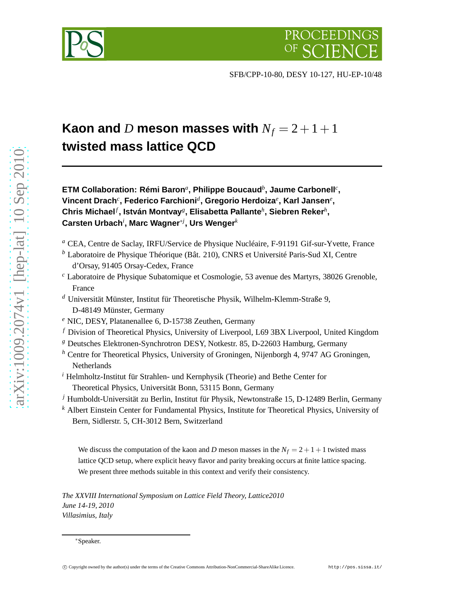

SFB/CPP-10-80, DESY 10-127, HU-EP-10/48

# **Kaon and** *D* meson masses with  $N_f = 2 + 1 + 1$ **twisted mass lattice QCD**

**ETM Collaboration: Rémi Baron***<sup>a</sup>* **, Philippe Boucaud***<sup>b</sup>* **, Jaume Carbonell***<sup>c</sup>* **, Vincent Drach***<sup>c</sup>* **, Federico Farchioni***<sup>d</sup>* **, Gregorio Herdoiza***<sup>e</sup>* **, Karl Jansen***<sup>e</sup>* **, Chris Michael***<sup>f</sup>* **, István Montvay***<sup>g</sup>* **, Elisabetta Pallante***<sup>h</sup>* **, Siebren Reker***<sup>h</sup>* **, Carsten Urbach***<sup>i</sup>* **, Marc Wagner**∗*<sup>j</sup>* **, Urs Wenger***<sup>k</sup>*

- *<sup>a</sup>* CEA, Centre de Saclay, IRFU/Service de Physique Nucléaire, F-91191 Gif-sur-Yvette, France
- *<sup>b</sup>* Laboratoire de Physique Théorique (Bât. 210), CNRS et Université Paris-Sud XI, Centre d'Orsay, 91405 Orsay-Cedex, France
- *<sup>c</sup>* Laboratoire de Physique Subatomique et Cosmologie, 53 avenue des Martyrs, 38026 Grenoble, France
- *<sup>d</sup>* Universität Münster, Institut für Theoretische Physik, Wilhelm-Klemm-Straße 9, D-48149 Münster, Germany
- *<sup>e</sup>* NIC, DESY, Platanenallee 6, D-15738 Zeuthen, Germany
- *<sup>f</sup>* Division of Theoretical Physics, University of Liverpool, L69 3BX Liverpool, United Kingdom
- *<sup>g</sup>* Deutsches Elektronen-Synchrotron DESY, Notkestr. 85, D-22603 Hamburg, Germany
- *<sup>h</sup>* Centre for Theoretical Physics, University of Groningen, Nijenborgh 4, 9747 AG Groningen, Netherlands
- *<sup>i</sup>* Helmholtz-Institut für Strahlen- und Kernphysik (Theorie) and Bethe Center for Theoretical Physics, Universität Bonn, 53115 Bonn, Germany
- *<sup>j</sup>* Humboldt-Universität zu Berlin, Institut für Physik, Newtonstraße 15, D-12489 Berlin, Germany
- *<sup>k</sup>* Albert Einstein Center for Fundamental Physics, Institute for Theoretical Physics, University of Bern, Sidlerstr. 5, CH-3012 Bern, Switzerland

We discuss the computation of the kaon and *D* meson masses in the  $N_f = 2 + 1 + 1$  twisted mass lattice QCD setup, where explicit heavy flavor and parity breaking occurs at finite lattice spacing. We present three methods suitable in this context and verify their consistency.

*The XXVIII International Symposium on Lattice Field Theory, Lattice2010 June 14-19, 2010 Villasimius, Italy*

<sup>∗</sup>Speaker.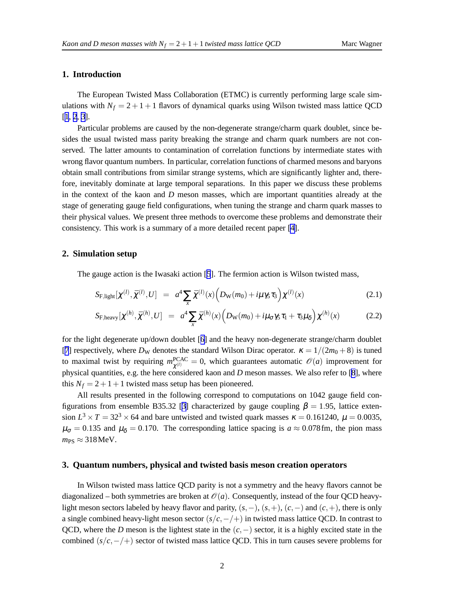# **1. Introduction**

The European Twisted Mass Collaboration (ETMC) is currently performing large scale simulations with  $N_f = 2 + 1 + 1$  flavors of dynamical quarks using Wilson twisted mass lattice QCD [[1](#page-6-0), [2](#page-6-0), [3](#page-6-0)].

Particular problems are caused by the non-degenerate strange/charm quark doublet, since besides the usual twisted mass parity breaking the strange and charm quark numbers are not conserved. The latter amounts to contamination of correlation functions by intermediate states with wrong flavor quantum numbers. In particular, correlation functions of charmed mesons and baryons obtain small contributions from similar strange systems, which are significantly lighter and, therefore, inevitably dominate at large temporal separations. In this paper we discuss these problems in the context of the kaon and *D* meson masses, which are important quantities already at the stage of generating gauge field configurations, when tuning the strange and charm quark masses to their physical values. We present three methods to overcome these problems and demonstrate their consistency. This work is a summary of a more detailed recent paper [\[4\]](#page-6-0).

## **2. Simulation setup**

The gauge action is the Iwasaki action [\[5](#page-6-0)]. The fermion action is Wilson twisted mass,

$$
S_{\text{F,light}}[\chi^{(l)}, \bar{\chi}^{(l)}, U] = a^4 \sum_{x} \bar{\chi}^{(l)}(x) \Big( D_{\text{W}}(m_0) + i \mu \gamma_5 \tau_3 \Big) \chi^{(l)}(x) \tag{2.1}
$$

$$
S_{\text{F,heavy}}[\chi^{(h)}, \bar{\chi}^{(h)}, U] = a^4 \sum_{x} \bar{\chi}^{(h)}(x) \Big( D_{\text{W}}(m_0) + i \mu_{\sigma} \gamma_5 \tau_1 + \tau_3 \mu_{\delta} \Big) \chi^{(h)}(x) \tag{2.2}
$$

for the light degenerate up/down doublet [[6\]](#page-6-0) and the heavy non-degenerate strange/charm doublet [[7](#page-6-0)] respectively, where  $D_W$  denotes the standard Wilson Dirac operator.  $\kappa = 1/(2m_0 + 8)$  is tuned to maximal twist by requiring  $m_{\nu^{(l)}}^{\text{PCAC}}$  $l_{\chi^{(l)}}^{\text{PCAC}} = 0$ , which guarantees automatic  $\mathscr{O}(a)$  improvement for physical quantities, e.g. the here considered kaon and *D* meson masses. We also refer to [[8](#page-6-0)], where this  $N_f = 2 + 1 + 1$  twisted mass setup has been pioneered.

All results presented in the following correspond to computations on 1042 gauge field con-figurations from ensemble B[3](#page-6-0)5.32 [3] characterized by gauge coupling  $\beta = 1.95$ , lattice extension  $L^3 \times T = 32^3 \times 64$  and bare untwisted and twisted quark masses  $\kappa = 0.161240$ ,  $\mu = 0.0035$ ,  $\mu_{\sigma} = 0.135$  and  $\mu_{\delta} = 0.170$ . The corresponding lattice spacing is  $a \approx 0.078$  fm, the pion mass  $m_{PS} \approx 318$  MeV.

## **3. Quantum numbers, physical and twisted basis meson creation operators**

In Wilson twisted mass lattice QCD parity is not a symmetry and the heavy flavors cannot be diagonalized – both symmetries are broken at  $\mathcal{O}(a)$ . Consequently, instead of the four OCD heavylight meson sectors labeled by heavy flavor and parity,  $(s, -)$ ,  $(s, +)$ ,  $(c, -)$  and  $(c, +)$ , there is only a single combined heavy-light meson sector (*s*/*c*,−/+) in twisted mass lattice QCD. In contrast to QCD, where the *D* meson is the lightest state in the (*c*,−) sector, it is a highly excited state in the combined (*s*/*c*,−/+) sector of twisted mass lattice QCD. This in turn causes severe problems for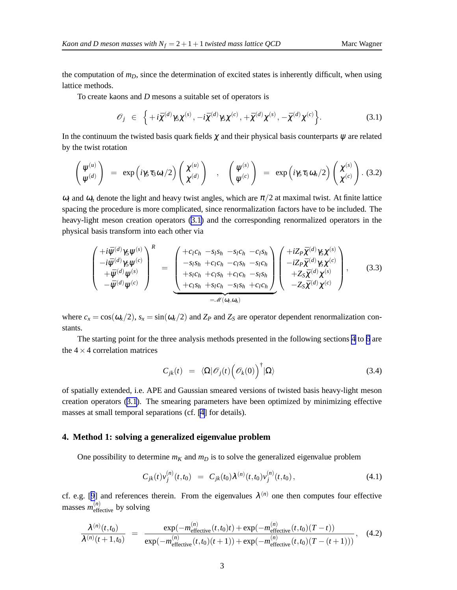<span id="page-2-0"></span>the computation of  $m<sub>D</sub>$ , since the determination of excited states is inherently difficult, when using lattice methods.

To create kaons and *D* mesons a suitable set of operators is

$$
\mathscr{O}_j \ \in \ \left\{ +i\bar{\chi}^{(d)}\gamma_5\chi^{(s)}, -i\bar{\chi}^{(d)}\gamma_5\chi^{(c)}, +\bar{\chi}^{(d)}\chi^{(s)}, -\bar{\chi}^{(d)}\chi^{(c)} \right\}.
$$
 (3.1)

In the continuum the twisted basis quark fields  $\chi$  and their physical basis counterparts  $\psi$  are related by the twist rotation

$$
\begin{pmatrix} \psi^{(u)} \\ \psi^{(d)} \end{pmatrix} = \exp(i\gamma_5 \tau_3 \omega_l/2) \begin{pmatrix} \chi^{(u)} \\ \chi^{(d)} \end{pmatrix} , \quad \begin{pmatrix} \psi^{(s)} \\ \psi^{(c)} \end{pmatrix} = \exp(i\gamma_5 \tau_1 \omega_h/2) \begin{pmatrix} \chi^{(s)} \\ \chi^{(c)} \end{pmatrix} . (3.2)
$$

 $\omega_l$  and  $\omega_h$  denote the light and heavy twist angles, which are  $\pi/2$  at maximal twist. At finite lattice spacing the procedure is more complicated, since renormalization factors have to be included. The heavy-light meson creation operators (3.1) and the corresponding renormalized operators in the physical basis transform into each other via

$$
\begin{pmatrix}\n+i\bar{\psi}^{(d)}\gamma_{5}\psi^{(s)} \\
-i\bar{\psi}^{(d)}\gamma_{5}\psi^{(c)} \\
+\bar{\psi}^{(d)}\psi^{(s)} \\
-\bar{\psi}^{(d)}\psi^{(c)}\n\end{pmatrix}^{R} = \begin{pmatrix}\n+c_{l}c_{h} - s_{l}s_{h} - s_{l}c_{h} - c_{l}s_{h} \\
-s_{l}s_{h} + c_{l}c_{h} - c_{l}s_{h} - s_{l}c_{h} \\
+s_{l}c_{h} + c_{l}s_{h} + c_{l}c_{h} - s_{l}s_{h} \\
+ c_{l}s_{h} + s_{l}c_{h} - s_{l}s_{h} \\
+ c_{l}s_{h} + s_{l}c_{h} - s_{l}s_{h} + c_{l}c_{h}\n\end{pmatrix} \begin{pmatrix}\n+iZ_{P}\bar{\chi}^{(d)}\gamma_{5}\chi^{(s)} \\
-iZ_{P}\bar{\chi}^{(d)}\gamma_{5}\chi^{(c)} \\
+ Z_{S}\bar{\chi}^{(d)}\chi^{(s)} \\
- Z_{S}\bar{\chi}^{(d)}\chi^{(c)}\n\end{pmatrix},
$$
\n(3.3)

where  $c_x = \cos(\omega_x/2)$ ,  $s_x = \sin(\omega_x/2)$  and  $Z_P$  and  $Z_S$  are operator dependent renormalization constants.

The starting point for the three analysis methods presented in the following sections 4 to [6](#page-4-0) are the  $4 \times 4$  correlation matrices

$$
C_{jk}(t) = \langle \Omega | \mathcal{O}_j(t) \left( \mathcal{O}_k(0) \right)^{\dagger} | \Omega \rangle \tag{3.4}
$$

of spatially extended, i.e. APE and Gaussian smeared versions of twisted basis heavy-light meson creation operators (3.1). The smearing parameters have been optimized by minimizing effective masses at small temporal separations (cf. [\[4\]](#page-6-0) for details).

#### **4. Method 1: solving a generalized eigenvalue problem**

One possibility to determine  $m<sub>K</sub>$  and  $m<sub>D</sub>$  is to solve the generalized eigenvalue problem

$$
C_{jk}(t)v_j^{(n)}(t,t_0) = C_{jk}(t_0)\lambda^{(n)}(t,t_0)v_j^{(n)}(t,t_0), \qquad (4.1)
$$

cf. e.g. [[9](#page-6-0)] and references therein. From the eigenvalues  $\lambda^{(n)}$  one then computes four effective masses  $m_{\text{effective}}^{(n)}$  by solving

$$
\frac{\lambda^{(n)}(t,t_0)}{\lambda^{(n)}(t+1,t_0)} = \frac{\exp(-m_{\text{effective}}^{(n)}(t,t_0)t) + \exp(-m_{\text{effective}}^{(n)}(t,t_0)(T-t))}{\exp(-m_{\text{effective}}^{(n)}(t,t_0)(t+1)) + \exp(-m_{\text{effective}}^{(n)}(t,t_0)(T-(t+1)))},\quad(4.2)
$$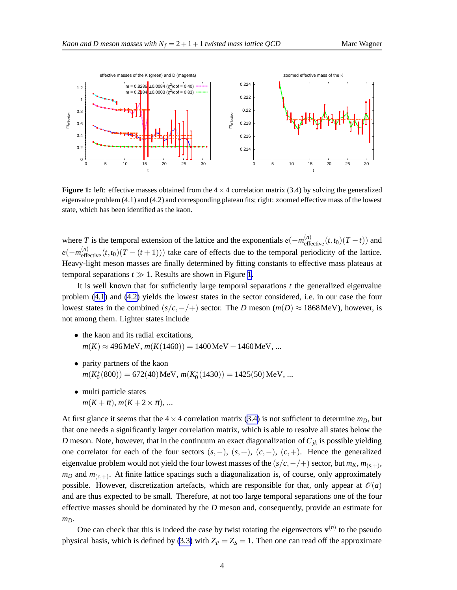

**Figure 1:** left: effective masses obtained from the  $4 \times 4$  correlation matrix (3.4) by solving the generalized eigenvalue problem (4.1) and (4.2) and corresponding plateau fits; right: zoomed effective mass of the lowest state, which has been identified as the kaon.

where *T* is the temporal extension of the lattice and the exponentials  $e(-m_{\text{effective}}^{(n)}(t,t_0)(T-t))$  and  $e(-m_{\text{effective}}^{(n)}(t,t_0)(T-(t+1)))$  take care of effects due to the temporal periodicity of the lattice. Heavy-light meson masses are finally determined by fitting constants to effective mass plateaus at temporal separations  $t \gg 1$ . Results are shown in Figure 1.

It is well known that for sufficiently large temporal separations *t* the generalized eigenvalue problem ([4.1](#page-2-0)) and [\(4.2\)](#page-2-0) yields the lowest states in the sector considered, i.e. in our case the four lowest states in the combined  $(s/c, -/+)$  sector. The *D* meson ( $m(D) \approx 1868$  MeV), however, is not among them. Lighter states include

- the kaon and its radial excitations,  $m(K) \approx 496$ MeV,  $m(K(1460)) = 1400$ MeV – 1460MeV, ...
- parity partners of the kaon  $m(K_0^*(800)) = 672(40) \,\text{MeV}, m(K_0^*(1430)) = 1425(50) \,\text{MeV}, \dots$
- multi particle states  $m(K + \pi)$ ,  $m(K + 2 \times \pi)$ , ...

At first glance it seems that the  $4 \times 4$  correlation matrix [\(3.4\)](#page-2-0) is not sufficient to determine  $m_D$ , but that one needs a significantly larger correlation matrix, which is able to resolve all states below the *D* meson. Note, however, that in the continuum an exact diagonalization of  $C_{jk}$  is possible yielding one correlator for each of the four sectors (*s*,−), (*s*,+), (*c*,−), (*c*,+). Hence the generalized eigenvalue problem would not yield the four lowest masses of the  $(s/c,−/+)$  sector, but  $m<sub>K</sub>, m<sub>(s,+)</sub>$ ,  $m_D$  and  $m_{(c,+)}$ . At finite lattice spacings such a diagonalization is, of course, only approximately possible. However, discretization artefacts, which are responsible for that, only appear at  $\mathcal{O}(a)$ and are thus expected to be small. Therefore, at not too large temporal separations one of the four effective masses should be dominated by the *D* meson and, consequently, provide an estimate for *mD*.

One can check that this is indeed the case by twist rotating the eigenvectors  $\mathbf{v}^{(n)}$  to the pseudo physical basis, which is defined by ([3.3\)](#page-2-0) with  $Z_P = Z_S = 1$ . Then one can read off the approximate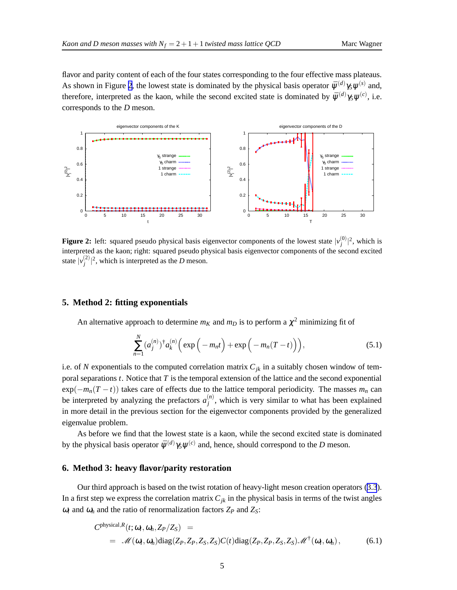<span id="page-4-0"></span>flavor and parity content of each of the four states corresponding to the four effective mass plateaus. As shown in Figure 2, the lowest state is dominated by the physical basis operator  $\bar{\psi}^{(d)}\gamma_5\psi^{(s)}$  and, therefore, interpreted as the kaon, while the second excited state is dominated by  $\bar{\psi}^{(d)}\gamma_5\psi^{(c)}$ , i.e. corresponds to the *D* meson.



**Figure 2:** left: squared pseudo physical basis eigenvector components of the lowest state  $|v_i^{(0)}\rangle$  $\int_{i}^{(0)} |^{2}$ , which is interpreted as the kaon; right: squared pseudo physical basis eigenvector components of the second excited state  $|v_i^{(2)}\rangle$  $\int_{i}^{(2)} |^{2}$ , which is interpreted as the *D* meson.

# **5. Method 2: fitting exponentials**

An alternative approach to determine  $m_K$  and  $m_D$  is to perform a  $\chi^2$  minimizing fit of

$$
\sum_{n=1}^{N} (a_j^{(n)})^{\dagger} a_k^{(n)} \Big( \exp\Big(-m_n t\Big) + \exp\Big(-m_n (T-t)\Big)\Big),\tag{5.1}
$$

i.e. of *N* exponentials to the computed correlation matrix  $C_{jk}$  in a suitably chosen window of temporal separations *t*. Notice that *T* is the temporal extension of the lattice and the second exponential  $\exp(-m_n(T-t))$  takes care of effects due to the lattice temporal periodicity. The masses  $m_n$  can be interpreted by analyzing the prefactors  $a_i^{(n)}$  $j^{(n)}$ , which is very similar to what has been explained in more detail in the previous section for the eigenvector components provided by the generalized eigenvalue problem.

As before we find that the lowest state is a kaon, while the second excited state is dominated by the physical basis operator  $\bar{\psi}^{(d)}$  /5  $\psi^{(c)}$  and, hence, should correspond to the *D* meson.

#### **6. Method 3: heavy flavor/parity restoration**

Our third approach is based on the twist rotation of heavy-light meson creation operators ([3.3](#page-2-0)). In a first step we express the correlation matrix  $C_{jk}$  in the physical basis in terms of the twist angles  $\omega_l$  and  $\omega_h$  and the ratio of renormalization factors  $Z_P$  and  $Z_S$ :

$$
C^{\text{physical},R}(t; \omega_l, \omega_h, Z_P/Z_S) =
$$
  
=  $\mathcal{M}(\omega_l, \omega_h) \text{diag}(Z_P, Z_P, Z_S, Z_S) C(t) \text{diag}(Z_P, Z_P, Z_S, Z_S) \mathcal{M}^{\dagger}(\omega_l, \omega_h),$  (6.1)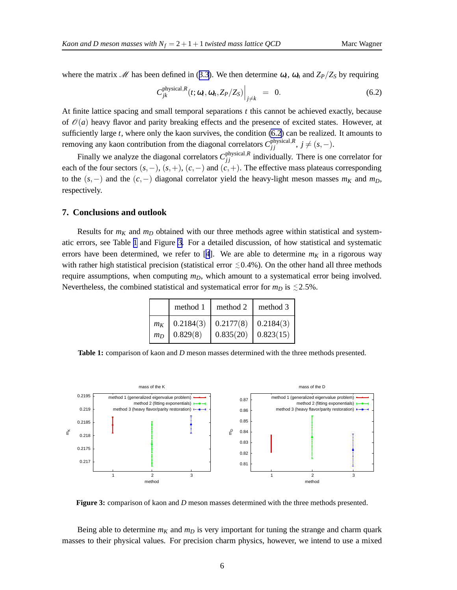where the matrix  $\mathcal{M}$  has been defined in ([3.3](#page-2-0)). We then determine  $\omega_l$ ,  $\omega_h$  and  $Z_P/Z_S$  by requiring

$$
C_{jk}^{\text{physical},R}(t;\omega_l,\omega_h,Z_P/Z_S)\Big|_{j\neq k} = 0. \tag{6.2}
$$

At finite lattice spacing and small temporal separations *t* this cannot be achieved exactly, because of  $\mathcal{O}(a)$  heavy flavor and parity breaking effects and the presence of excited states. However, at sufficiently large *t*, where only the kaon survives, the condition (6.2) can be realized. It amounts to removing any kaon contribution from the diagonal correlators  $C_{jj}^{\text{physical},R}$ ,  $j \neq (s, -)$ .

Finally we analyze the diagonal correlators  $C_{jj}^{\text{physical},R}$  individually. There is one correlator for each of the four sectors  $(s, -)$ ,  $(s, +)$ ,  $(c, -)$  and  $(c, +)$ . The effective mass plateaus corresponding to the  $(s, -)$  and the  $(c, -)$  diagonal correlator yield the heavy-light meson masses  $m<sub>K</sub>$  and  $m<sub>D</sub>$ , respectively.

# **7. Conclusions and outlook**

Results for  $m_K$  and  $m_D$  obtained with our three methods agree within statistical and systematic errors, see Table 1 and Figure 3. For a detailed discussion, of how statistical and systematic errors have been determined, we refer to [[4](#page-6-0)]. We are able to determine  $m_K$  in a rigorous way with rather high statistical precision (statistical error  $\leq 0.4$ %). On the other hand all three methods require assumptions, when computing *mD*, which amount to a systematical error being involved. Nevertheless, the combined statistical and systematical error for  $m_D$  is  $\leq 2.5\%$ .

|       | method 1  | method 2  | method 3  |
|-------|-----------|-----------|-----------|
| $m_K$ | 0.2184(3) | 0.2177(8) | 0.2184(3) |
| $m_D$ | 0.829(8)  | 0.835(20) | 0.823(15) |

**Table 1:** comparison of kaon and *D* meson masses determined with the three methods presented.



**Figure 3:** comparison of kaon and *D* meson masses determined with the three methods presented.

Being able to determine  $m_K$  and  $m_D$  is very important for tuning the strange and charm quark masses to their physical values. For precision charm physics, however, we intend to use a mixed